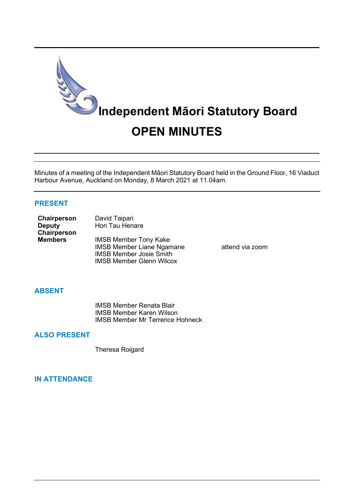

Minutes of a meeting of the Independent Māori Statutory Board held in the Ground Floor, 16 Viaduct Harbour Avenue, Auckland on Monday, 8 March 2021 at 11.04am.

### **PRESENT**

| Chairperson    | David Taipari                    |  |  |
|----------------|----------------------------------|--|--|
| <b>Deputy</b>  | Hon Tau Henare                   |  |  |
| Chairperson    |                                  |  |  |
| <b>Members</b> | <b>IMSB Member Tony Kake</b>     |  |  |
|                | <b>IMSB Member Liane Ngamane</b> |  |  |
|                | <b>IMSB Member Josie Smith</b>   |  |  |

attend via zoom

### **ABSENT**

IMSB Member Renata Blair IMSB Member Karen Wilson IMSB Member Mr Terrence Hohneck

IMSB Member Glenn Wilcox

## **ALSO PRESENT**

Theresa Roigard

### **IN ATTENDANCE**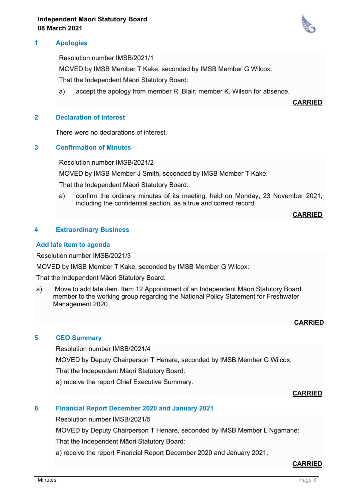### **1 Apologies**

Resolution number IMSB/2021/1

MOVED by IMSB Member T Kake, seconded by IMSB Member G Wilcox:

That the Independent Māori Statutory Board:

a) accept the apology from member R. Blair, member K. Wilson for absence.

**CARRIED**

### **2 Declaration of Interest**

There were no declarations of interest.

## **3 Confirmation of Minutes**

Resolution number IMSB/2021/2

MOVED by IMSB Member J Smith, seconded by IMSB Member T Kake:

That the Independent Māori Statutory Board:

a) confirm the ordinary minutes of its meeting, held on Monday, 23 November 2021, including the confidential section, as a true and correct record.

#### **CARRIED**

## **4 Extraordinary Business**

#### **Add late item to agenda**

Resolution number IMSB/2021/3

MOVED by IMSB Member T Kake, seconded by IMSB Member G Wilcox:

That the Independent Māori Statutory Board:

a) Move to add late item. Item 12 Appointment of an Independent Māori Statutory Board member to the working group regarding the National Policy Statement for Freshwater Management 2020

# **CARRIED**

## **5 CEO Summary**

Resolution number IMSB/2021/4

MOVED by Deputy Chairperson T Henare, seconded by IMSB Member G Wilcox:

That the Independent Māori Statutory Board:

a) receive the report Chief Executive Summary.

## **CARRIED**

## **6 Financial Report December 2020 and January 2021**

Resolution number IMSB/2021/5

MOVED by Deputy Chairperson T Henare, seconded by IMSB Member L Ngamane:

That the Independent Māori Statutory Board:

a) receive the report Financial Report December 2020 and January 2021.

## **CARRIED**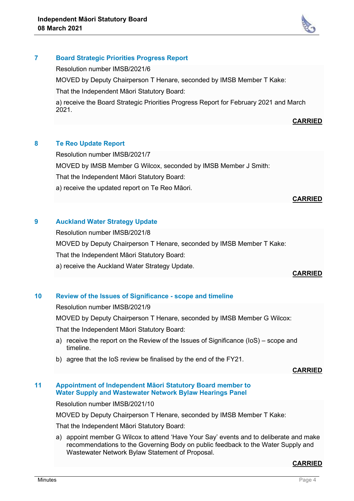

## **7 Board Strategic Priorities Progress Report**

Resolution number IMSB/2021/6

MOVED by Deputy Chairperson T Henare, seconded by IMSB Member T Kake:

That the Independent Māori Statutory Board:

a) receive the Board Strategic Priorities Progress Report for February 2021 and March 2021.

## **CARRIED**

## **8 Te Reo Update Report**

Resolution number IMSB/2021/7

MOVED by IMSB Member G Wilcox, seconded by IMSB Member J Smith:

That the Independent Māori Statutory Board:

a) receive the updated report on Te Reo Māori.

#### **CARRIED**

# **9 Auckland Water Strategy Update**

Resolution number IMSB/2021/8

MOVED by Deputy Chairperson T Henare, seconded by IMSB Member T Kake:

That the Independent Māori Statutory Board:

a) receive the Auckland Water Strategy Update.

## **CARRIED**

# **10 Review of the Issues of Significance - scope and timeline**

Resolution number IMSB/2021/9

MOVED by Deputy Chairperson T Henare, seconded by IMSB Member G Wilcox:

That the Independent Māori Statutory Board:

- a) receive the report on the Review of the Issues of Significance (IoS) scope and timeline.
- b) agree that the IoS review be finalised by the end of the FY21.

## **CARRIED**

#### **11 Appointment of Independent Māori Statutory Board member to Water Supply and Wastewater Network Bylaw Hearings Panel**

Resolution number IMSB/2021/10

MOVED by Deputy Chairperson T Henare, seconded by IMSB Member T Kake:

That the Independent Māori Statutory Board:

a) appoint member G Wilcox to attend 'Have Your Say' events and to deliberate and make recommendations to the Governing Body on public feedback to the Water Supply and Wastewater Network Bylaw Statement of Proposal.

## **CARRIED**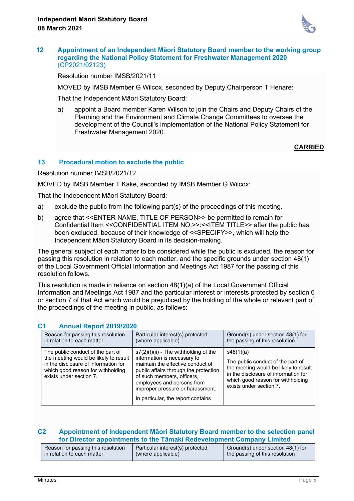

#### **12 Appointment of an Independent Māori Statutory Board member to the working group regarding the National Policy Statement for Freshwater Management 2020** (CP2021/02123)

Resolution number IMSB/2021/11

MOVED by IMSB Member G Wilcox, seconded by Deputy Chairperson T Henare:

That the Independent Māori Statutory Board:

a) appoint a Board member Karen Wilson to join the Chairs and Deputy Chairs of the Planning and the Environment and Climate Change Committees to oversee the development of the Council's implementation of the National Policy Statement for Freshwater Management 2020.

## **CARRIED**

## **13 Procedural motion to exclude the public**

Resolution number IMSB/2021/12

MOVED by IMSB Member T Kake, seconded by IMSB Member G Wilcox:

That the Independent Māori Statutory Board:

- a) exclude the public from the following part(s) of the proceedings of this meeting.
- b) agree that <<ENTER NAME, TITLE OF PERSON>> be permitted to remain for Confidential Item <<CONFIDENTIAL ITEM NO.>>:<<ITEM TITLE>> after the public has been excluded, because of their knowledge of <<SPECIFY>>, which will help the Independent Māori Statutory Board in its decision-making.

The general subject of each matter to be considered while the public is excluded, the reason for passing this resolution in relation to each matter, and the specific grounds under section 48(1) of the Local Government Official Information and Meetings Act 1987 for the passing of this resolution follows.

This resolution is made in reliance on section 48(1)(a) of the Local Government Official Information and Meetings Act 1987 and the particular interest or interests protected by section 6 or section 7 of that Act which would be prejudiced by the holding of the whole or relevant part of the proceedings of the meeting in public, as follows:

|  | G1.<br><b>Annual Report 2019/2020</b>                                                                                                                                              |                                                                                                                                                                                                                                                                                            |                                                                                                                                                                                                 |  |  |  |
|--|------------------------------------------------------------------------------------------------------------------------------------------------------------------------------------|--------------------------------------------------------------------------------------------------------------------------------------------------------------------------------------------------------------------------------------------------------------------------------------------|-------------------------------------------------------------------------------------------------------------------------------------------------------------------------------------------------|--|--|--|
|  | Reason for passing this resolution<br>in relation to each matter                                                                                                                   | Particular interest(s) protected<br>(where applicable)                                                                                                                                                                                                                                     | Ground(s) under section 48(1) for<br>the passing of this resolution                                                                                                                             |  |  |  |
|  | The public conduct of the part of<br>the meeting would be likely to result<br>in the disclosure of information for<br>which good reason for withholding<br>exists under section 7. | $s7(2)(f)(ii)$ - The withholding of the<br>information is necessary to<br>maintain the effective conduct of<br>public affairs through the protection<br>of such members, officers,<br>employees and persons from<br>improper pressure or harassment.<br>In particular, the report contains | s48(1)(a)<br>The public conduct of the part of<br>the meeting would be likely to result<br>in the disclosure of information for<br>which good reason for withholding<br>exists under section 7. |  |  |  |

# **C1 Annual Report 2019/2020**

## **C2 Appointment of Independent Māori Statutory Board member to the selection panel for Director appointments to the Tāmaki Redevelopment Company Limited**

| Reason for passing this resolution | Particular interest(s) protected | Ground(s) under section 48(1) for |
|------------------------------------|----------------------------------|-----------------------------------|
| in relation to each matter         | (where applicable)               | the passing of this resolution    |